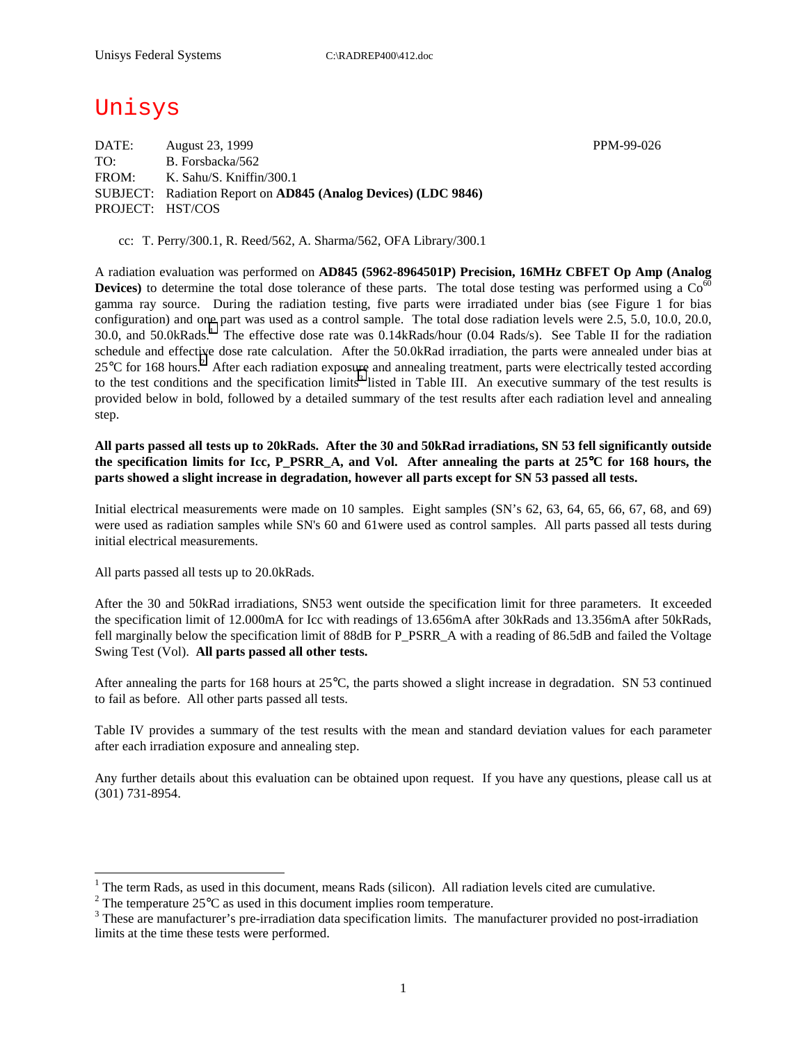# Unisys

DATE: August 23, 1999 PPM-99-026 TO: B. Forsbacka/562 FROM: K. Sahu/S. Kniffin/300.1 SUBJECT: Radiation Report on **AD845 (Analog Devices) (LDC 9846)** PROJECT: HST/COS

cc: T. Perry/300.1, R. Reed/562, A. Sharma/562, OFA Library/300.1

A radiation evaluation was performed on **AD845 (5962-8964501P) Precision, 16MHz CBFET Op Amp (Analog Devices**) to determine the total dose tolerance of these parts. The total dose testing was performed using a  $Co<sup>60</sup>$ gamma ray source. During the radiation testing, five parts were irradiated under bias (see Figure 1 for bias configuration) and one part was used as a control sample. The total dose radiation levels were 2.5, 5.0, 10.0, 20.0, 30.0, and 50.0kRads.<sup>1</sup> The effective dose rate was 0.14kRads/hour (0.04 Rads/s). See Table II for the radiation schedule and effective dose rate calculation. After the 50.0kRad irradiation, the parts were annealed under bias at 25°C for 168 hours.<sup>2</sup> After each radiation exposure and annealing treatment, parts were electrically tested according to the test conditions and the specification limits<sup>3</sup> listed in Table III. An executive summary of the test results is provided below in bold, followed by a detailed summary of the test results after each radiation level and annealing step.

**All parts passed all tests up to 20kRads. After the 30 and 50kRad irradiations, SN 53 fell significantly outside the specification limits for Icc, P\_PSRR\_A, and Vol. After annealing the parts at 25**°**C for 168 hours, the parts showed a slight increase in degradation, however all parts except for SN 53 passed all tests.** 

Initial electrical measurements were made on 10 samples. Eight samples (SN's 62, 63, 64, 65, 66, 67, 68, and 69) were used as radiation samples while SN's 60 and 61were used as control samples. All parts passed all tests during initial electrical measurements.

All parts passed all tests up to 20.0kRads.

 $\overline{a}$ 

After the 30 and 50kRad irradiations, SN53 went outside the specification limit for three parameters. It exceeded the specification limit of 12.000mA for Icc with readings of 13.656mA after 30kRads and 13.356mA after 50kRads, fell marginally below the specification limit of 88dB for P\_PSRR\_A with a reading of 86.5dB and failed the Voltage Swing Test (Vol). **All parts passed all other tests.**

After annealing the parts for 168 hours at 25°C, the parts showed a slight increase in degradation. SN 53 continued to fail as before. All other parts passed all tests.

Table IV provides a summary of the test results with the mean and standard deviation values for each parameter after each irradiation exposure and annealing step.

Any further details about this evaluation can be obtained upon request. If you have any questions, please call us at (301) 731-8954.

<sup>&</sup>lt;sup>1</sup> The term Rads, as used in this document, means Rads (silicon). All radiation levels cited are cumulative.

<sup>&</sup>lt;sup>2</sup> The temperature 25 $^{\circ}$ C as used in this document implies room temperature.  $^3$  These are manufacturer's are irrediction date apositionism limits. The manufacturer's

<sup>&</sup>lt;sup>3</sup> These are manufacturer's pre-irradiation data specification limits. The manufacturer provided no post-irradiation limits at the time these tests were performed.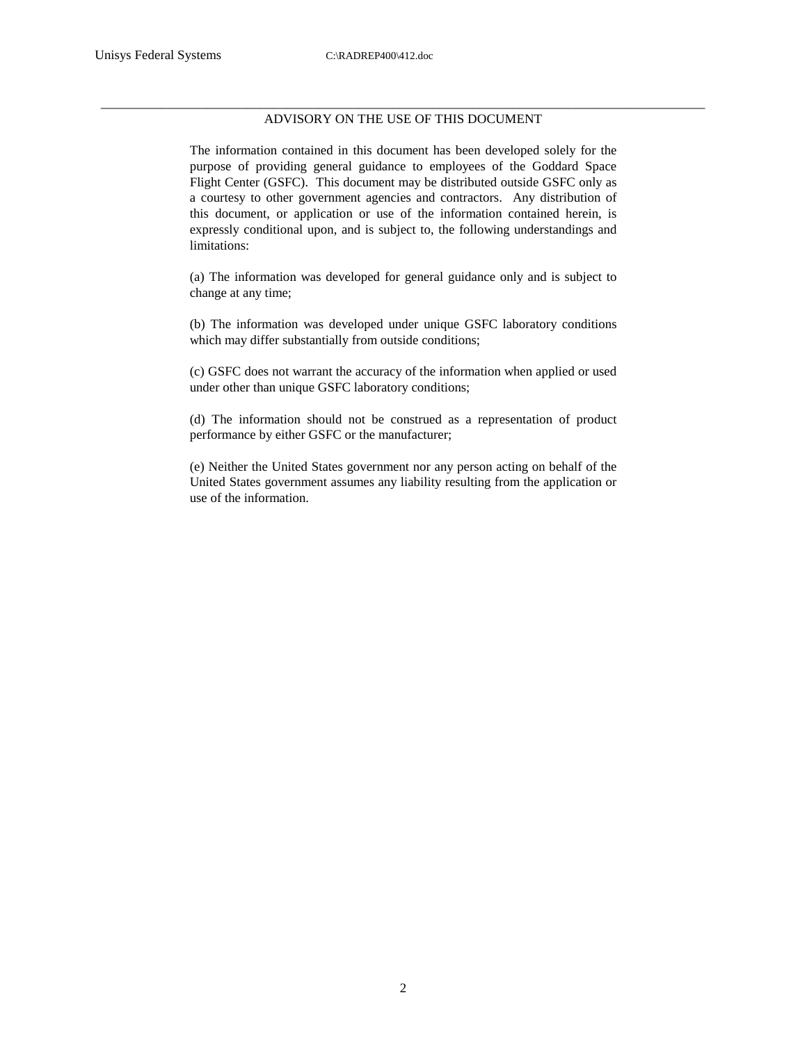#### \_\_\_\_\_\_\_\_\_\_\_\_\_\_\_\_\_\_\_\_\_\_\_\_\_\_\_\_\_\_\_\_\_\_\_\_\_\_\_\_\_\_\_\_\_\_\_\_\_\_\_\_\_\_\_\_\_\_\_\_\_\_\_\_\_\_\_\_\_\_\_\_\_\_\_\_\_\_\_\_\_\_\_\_\_\_\_\_\_\_\_ ADVISORY ON THE USE OF THIS DOCUMENT

The information contained in this document has been developed solely for the purpose of providing general guidance to employees of the Goddard Space Flight Center (GSFC). This document may be distributed outside GSFC only as a courtesy to other government agencies and contractors. Any distribution of this document, or application or use of the information contained herein, is expressly conditional upon, and is subject to, the following understandings and limitations:

(a) The information was developed for general guidance only and is subject to change at any time;

(b) The information was developed under unique GSFC laboratory conditions which may differ substantially from outside conditions;

(c) GSFC does not warrant the accuracy of the information when applied or used under other than unique GSFC laboratory conditions;

(d) The information should not be construed as a representation of product performance by either GSFC or the manufacturer;

(e) Neither the United States government nor any person acting on behalf of the United States government assumes any liability resulting from the application or use of the information.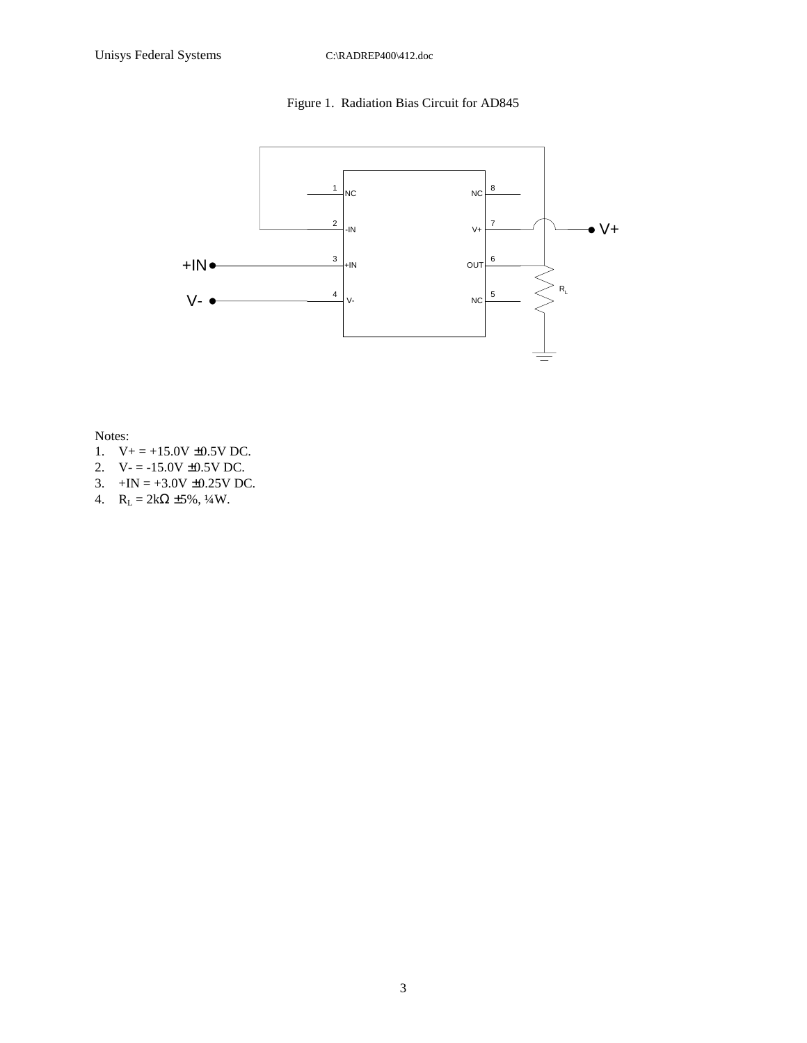## Figure 1. Radiation Bias Circuit for AD845



Notes:

- 1.  $V_+ = +15.0V \pm 0.5V$  DC.
- 2.  $V = -15.0V \pm 0.5V$  DC.
- 3.  $+IN = +3.0V \pm 0.25V$  DC.
- 4.  $R_L = 2k\Omega \pm 5\%, \frac{1}{4}W$ .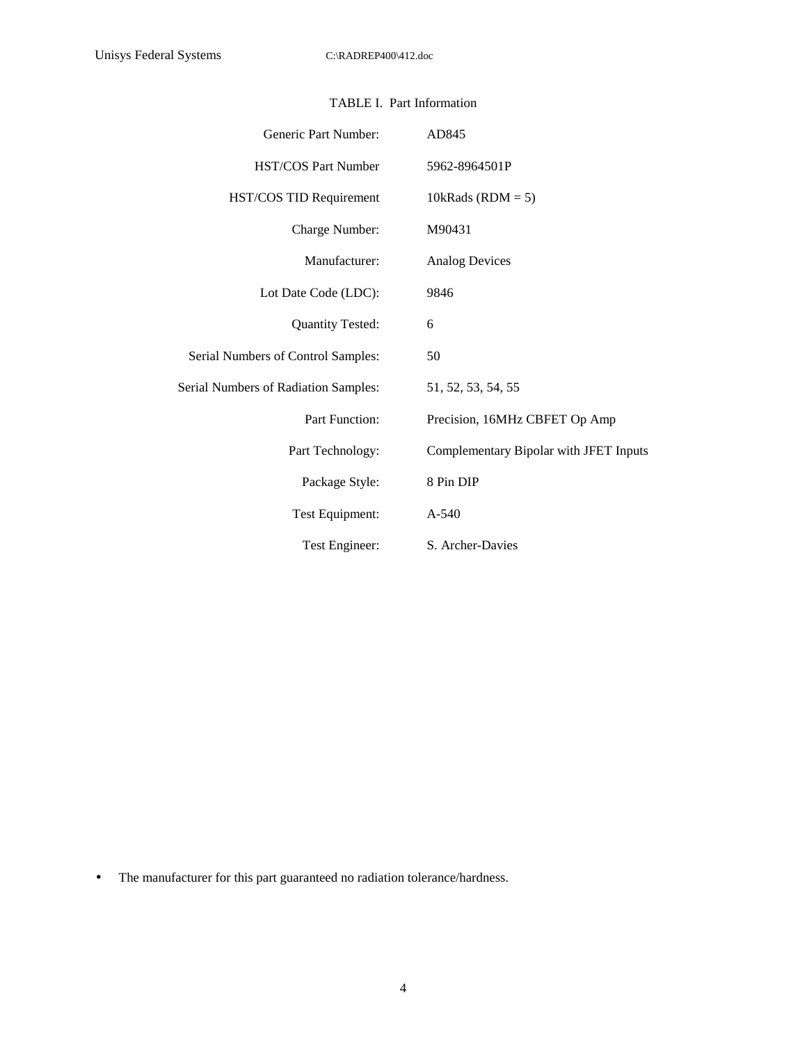| Generic Part Number:                        | AD845                                  |
|---------------------------------------------|----------------------------------------|
| <b>HST/COS Part Number</b>                  | 5962-8964501P                          |
| HST/COS TID Requirement                     | 10kRads ( $RDM = 5$ )                  |
| Charge Number:                              | M90431                                 |
| Manufacturer:                               | <b>Analog Devices</b>                  |
| Lot Date Code (LDC):                        | 9846                                   |
| <b>Quantity Tested:</b>                     | 6                                      |
| Serial Numbers of Control Samples:          | 50                                     |
| <b>Serial Numbers of Radiation Samples:</b> | 51, 52, 53, 54, 55                     |
| <b>Part Function:</b>                       | Precision, 16MHz CBFET Op Amp          |
| Part Technology:                            | Complementary Bipolar with JFET Inputs |
| Package Style:                              | 8 Pin DIP                              |
| Test Equipment:                             | A-540                                  |
| Test Engineer:                              | S. Archer-Davies                       |

#### TABLE I. Part Information

• The manufacturer for this part guaranteed no radiation tolerance/hardness.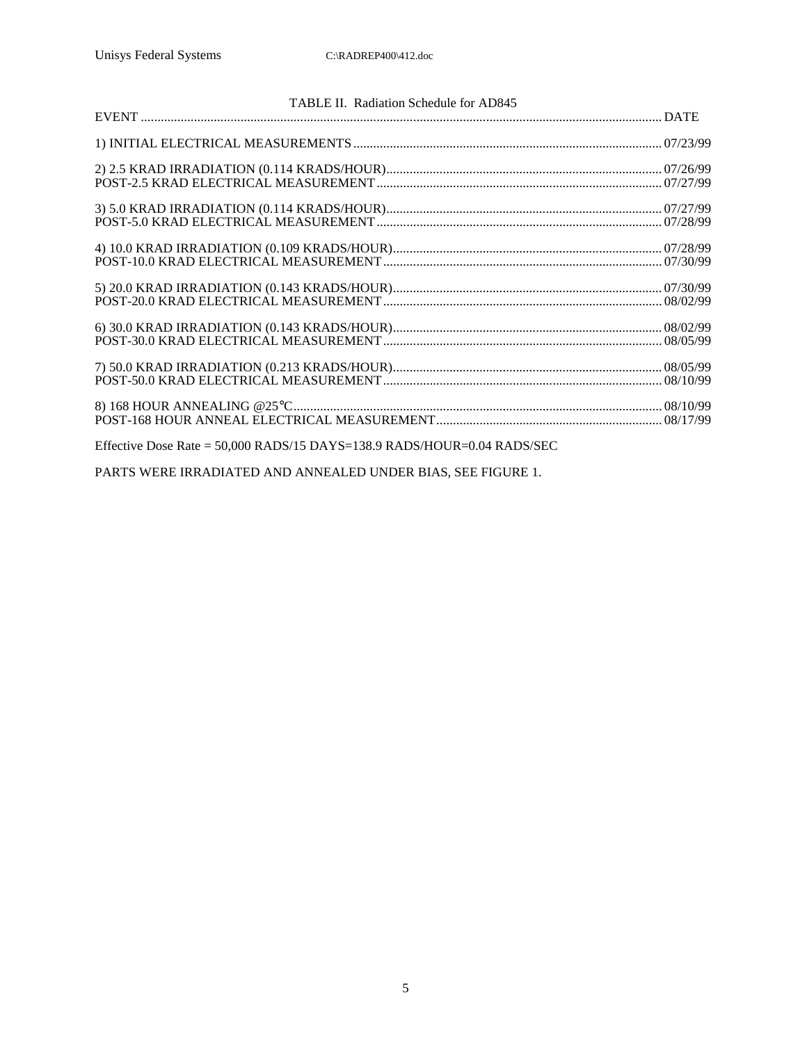| TABLE II. Radiation Schedule for AD845                                  |  |
|-------------------------------------------------------------------------|--|
|                                                                         |  |
|                                                                         |  |
|                                                                         |  |
|                                                                         |  |
|                                                                         |  |
|                                                                         |  |
|                                                                         |  |
|                                                                         |  |
|                                                                         |  |
|                                                                         |  |
|                                                                         |  |
|                                                                         |  |
|                                                                         |  |
|                                                                         |  |
|                                                                         |  |
|                                                                         |  |
| Effective Dose Rate = 50,000 RADS/15 DAYS=138.9 RADS/HOUR=0.04 RADS/SEC |  |

PARTS WERE IRRADIATED AND ANNEALED UNDER BIAS, SEE FIGURE 1.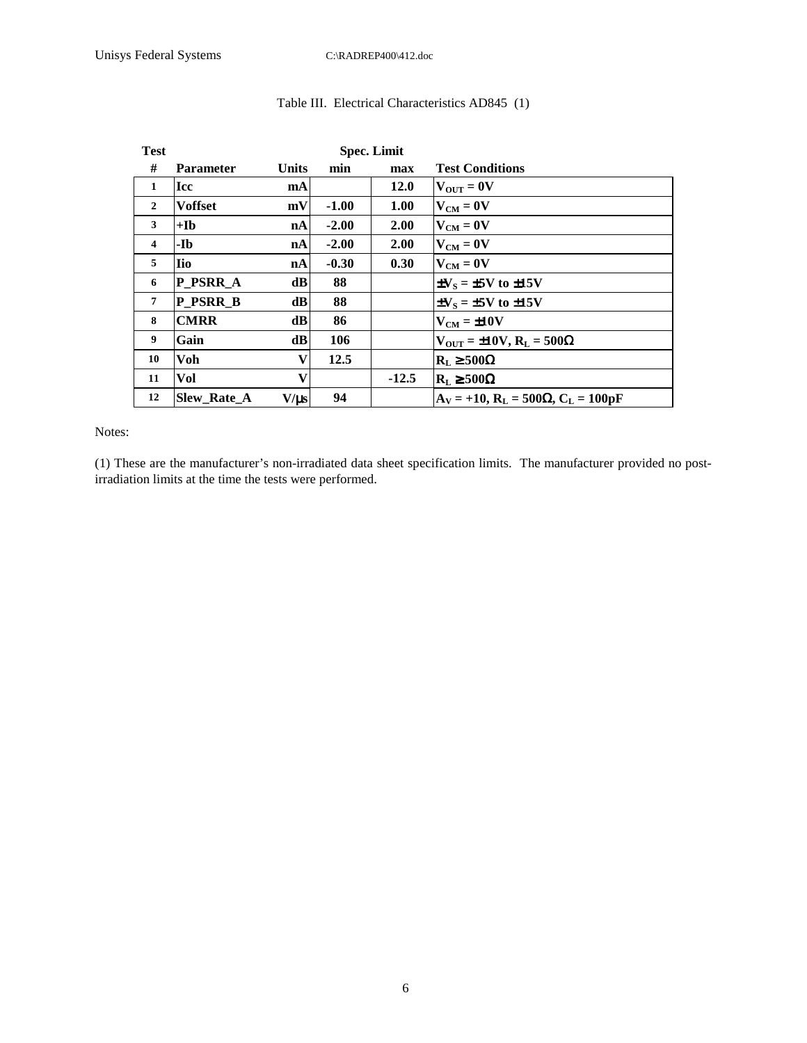| <b>Test</b>             |                    |              | <b>Spec. Limit</b> |             |                                                   |
|-------------------------|--------------------|--------------|--------------------|-------------|---------------------------------------------------|
| #                       | <b>Parameter</b>   | <b>Units</b> | min                | max         | <b>Test Conditions</b>                            |
| 1                       | Icc                | mA           |                    | <b>12.0</b> | $V_{\text{OUT}} = 0V$                             |
| $\overline{2}$          | <b>Voffset</b>     | mV           | $-1.00$            | 1.00        | $V_{CM} = 0V$                                     |
| 3                       | $+$ <b>I</b> b     | nA           | $-2.00$            | <b>2.00</b> | $V_{CM} = 0V$                                     |
| $\overline{\mathbf{4}}$ | -Ib                | nA           | $-2.00$            | 2.00        | $V_{CM} = 0V$                                     |
| 5                       | lio                | nA           | $-0.30$            | 0.30        | $V_{CM} = 0V$                                     |
| 6                       | <b>P PSRR A</b>    | dB           | 88                 |             | $\pm V_s = \pm 5V$ to $\pm 15V$                   |
| $\overline{7}$          | <b>P PSRR B</b>    | dB           | 88                 |             | $\pm V_s = \pm 5V$ to $\pm 15V$                   |
| 8                       | <b>CMRR</b>        | dB           | 86                 |             | $V_{CM} = \pm 10V$                                |
| 9                       | Gain               | dB           | 106                |             | $V_{\text{OUT}} = \pm 10 V$ , $R_L = 500 \Omega$  |
| 10                      | Voh                | v            | 12.5               |             | $R_L \ge 500\Omega$                               |
| 11                      | Vol                | V            |                    | $-12.5$     | $R_L \ge 500\Omega$                               |
| 12                      | <b>Slew Rate A</b> | $V/\mu s$    | 94                 |             | $A_V = +10$ , $R_L = 500 \Omega$ , $C_L = 100 pF$ |

## Table III. Electrical Characteristics AD845 (1)

#### Notes:

(1) These are the manufacturer's non-irradiated data sheet specification limits. The manufacturer provided no postirradiation limits at the time the tests were performed.